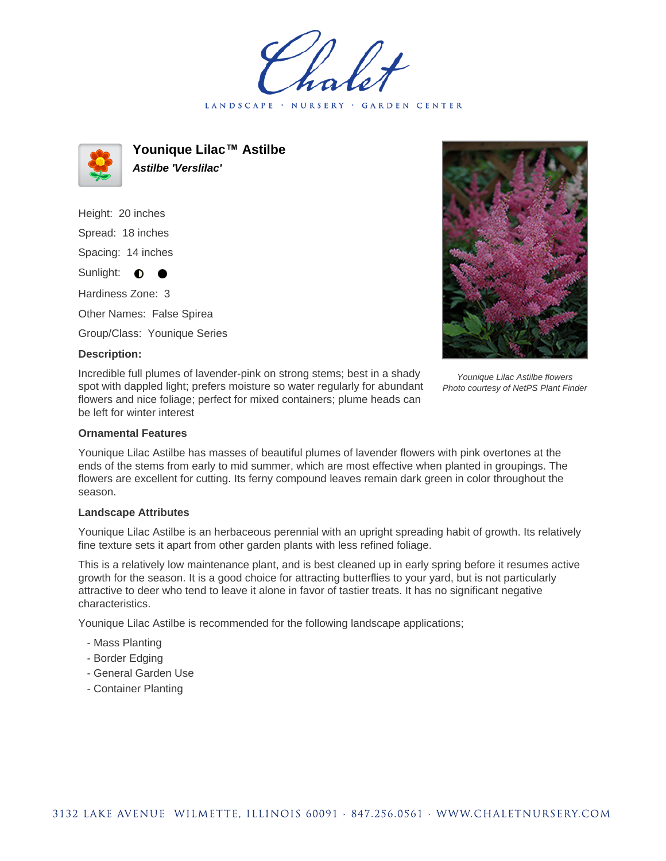LANDSCAPE · NURSERY GARDEN CENTER



**Younique Lilac™ Astilbe Astilbe 'Verslilac'**

Height: 20 inches Spread: 18 inches Spacing: 14 inches Sunlight: **O** Hardiness Zone: 3 Other Names: False Spirea Group/Class: Younique Series

## **Description:**

Incredible full plumes of lavender-pink on strong stems; best in a shady spot with dappled light; prefers moisture so water regularly for abundant flowers and nice foliage; perfect for mixed containers; plume heads can be left for winter interest

Younique Lilac Astilbe flowers Photo courtesy of NetPS Plant Finder

### **Ornamental Features**

Younique Lilac Astilbe has masses of beautiful plumes of lavender flowers with pink overtones at the ends of the stems from early to mid summer, which are most effective when planted in groupings. The flowers are excellent for cutting. Its ferny compound leaves remain dark green in color throughout the season.

### **Landscape Attributes**

Younique Lilac Astilbe is an herbaceous perennial with an upright spreading habit of growth. Its relatively fine texture sets it apart from other garden plants with less refined foliage.

This is a relatively low maintenance plant, and is best cleaned up in early spring before it resumes active growth for the season. It is a good choice for attracting butterflies to your yard, but is not particularly attractive to deer who tend to leave it alone in favor of tastier treats. It has no significant negative characteristics.

Younique Lilac Astilbe is recommended for the following landscape applications;

- Mass Planting
- Border Edging
- General Garden Use
- Container Planting